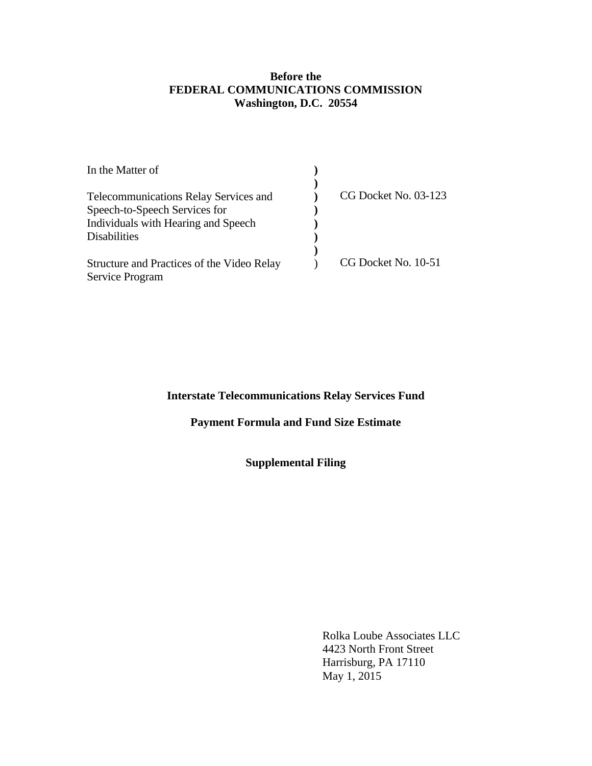#### **Before the FEDERAL COMMUNICATIONS COMMISSION Washington, D.C. 20554**

| CG Docket No. 03-123 |
|----------------------|
|                      |
|                      |
|                      |
|                      |
| CG Docket No. 10-51  |
|                      |
|                      |

### **Interstate Telecommunications Relay Services Fund**

## **Payment Formula and Fund Size Estimate**

### **Supplemental Filing**

 Rolka Loube Associates LLC 4423 North Front Street Harrisburg, PA 17110 May 1, 2015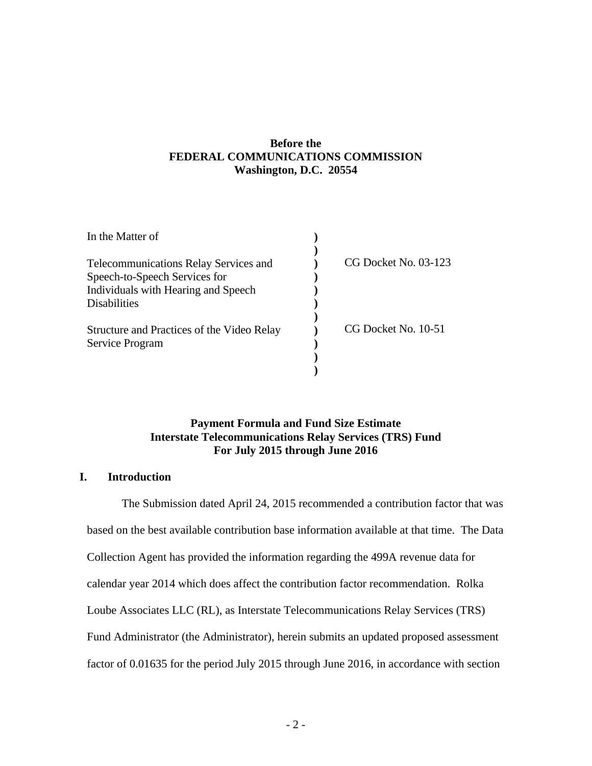### **Before the FEDERAL COMMUNICATIONS COMMISSION Washington, D.C. 20554**

| In the Matter of                                              |                      |
|---------------------------------------------------------------|----------------------|
|                                                               |                      |
| <b>Telecommunications Relay Services and</b>                  | CG Docket No. 03-123 |
| Speech-to-Speech Services for                                 |                      |
| Individuals with Hearing and Speech                           |                      |
| <b>Disabilities</b>                                           |                      |
| Structure and Practices of the Video Relay<br>Service Program | CG Docket No. 10-51  |
|                                                               |                      |
|                                                               |                      |

#### **Payment Formula and Fund Size Estimate Interstate Telecommunications Relay Services (TRS) Fund For July 2015 through June 2016**

#### **I. Introduction**

The Submission dated April 24, 2015 recommended a contribution factor that was based on the best available contribution base information available at that time. The Data Collection Agent has provided the information regarding the 499A revenue data for calendar year 2014 which does affect the contribution factor recommendation. Rolka Loube Associates LLC (RL), as Interstate Telecommunications Relay Services (TRS) Fund Administrator (the Administrator), herein submits an updated proposed assessment factor of 0.01635 for the period July 2015 through June 2016, in accordance with section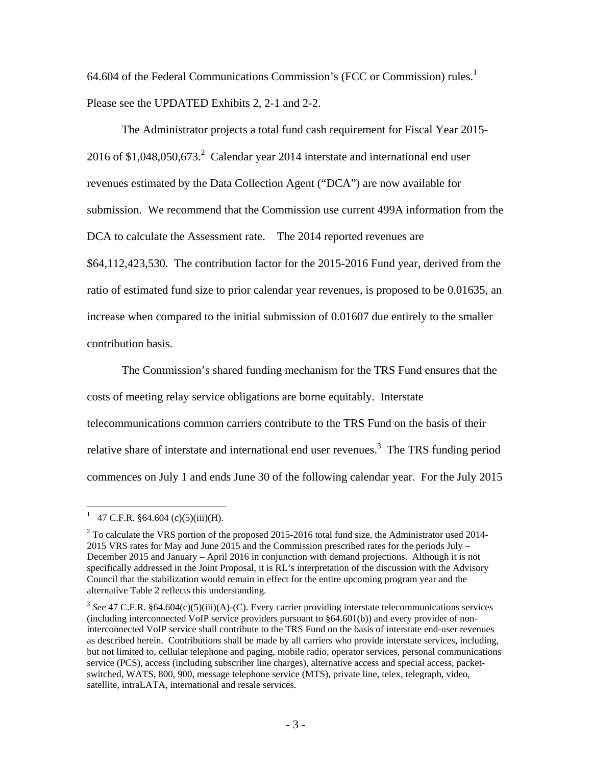64.604 of the Federal Communications Commission's (FCC or Commission) rules.<sup>1</sup> Please see the UPDATED Exhibits 2, 2-1 and 2-2.

The Administrator projects a total fund cash requirement for Fiscal Year 2015- 2016 of  $$1,048,050,673$ <sup>2</sup> Calendar year 2014 interstate and international end user revenues estimated by the Data Collection Agent ("DCA") are now available for submission. We recommend that the Commission use current 499A information from the DCA to calculate the Assessment rate. The 2014 reported revenues are \$64,112,423,530. The contribution factor for the 2015-2016 Fund year, derived from the ratio of estimated fund size to prior calendar year revenues, is proposed to be 0.01635, an increase when compared to the initial submission of 0.01607 due entirely to the smaller contribution basis.

The Commission's shared funding mechanism for the TRS Fund ensures that the costs of meeting relay service obligations are borne equitably. Interstate telecommunications common carriers contribute to the TRS Fund on the basis of their relative share of interstate and international end user revenues.<sup>3</sup> The TRS funding period commences on July 1 and ends June 30 of the following calendar year. For the July 2015

<sup>&</sup>lt;sup>1</sup> 47 C.F.R. §64.604 (c)(5)(iii)(H).

 $2^2$  To calculate the VRS portion of the proposed 2015-2016 total fund size, the Administrator used 2014-2015 VRS rates for May and June 2015 and the Commission prescribed rates for the periods July – December 2015 and January – April 2016 in conjunction with demand projections. Although it is not specifically addressed in the Joint Proposal, it is RL's interpretation of the discussion with the Advisory Council that the stabilization would remain in effect for the entire upcoming program year and the alternative Table 2 reflects this understanding.

<sup>3</sup> *See* 47 C.F.R. §64.604(c)(5)(iii)(A)-(C). Every carrier providing interstate telecommunications services (including interconnected VoIP service providers pursuant to §64.601(b)) and every provider of noninterconnected VoIP service shall contribute to the TRS Fund on the basis of interstate end-user revenues as described herein. Contributions shall be made by all carriers who provide interstate services, including, but not limited to, cellular telephone and paging, mobile radio, operator services, personal communications service (PCS), access (including subscriber line charges), alternative access and special access, packetswitched, WATS, 800, 900, message telephone service (MTS), private line, telex, telegraph, video, satellite, intraLATA, international and resale services.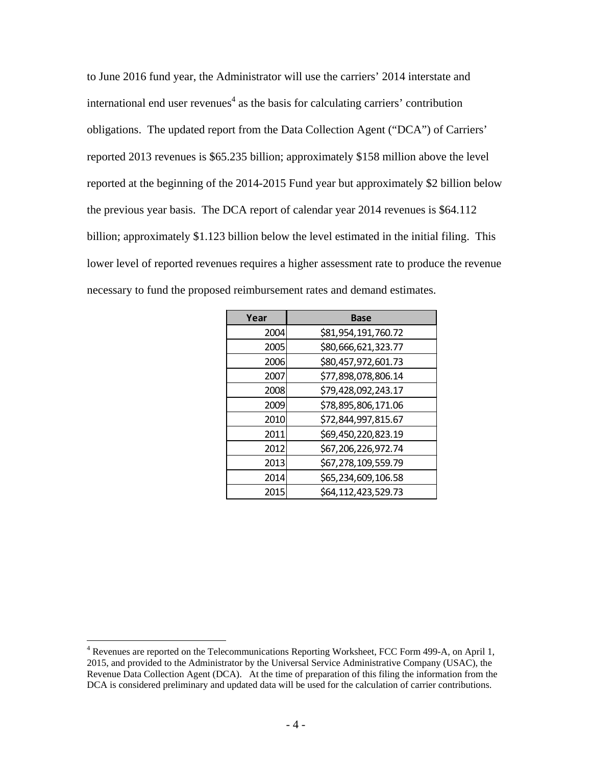to June 2016 fund year, the Administrator will use the carriers' 2014 interstate and international end user revenues $4$  as the basis for calculating carriers' contribution obligations. The updated report from the Data Collection Agent ("DCA") of Carriers' reported 2013 revenues is \$65.235 billion; approximately \$158 million above the level reported at the beginning of the 2014-2015 Fund year but approximately \$2 billion below the previous year basis. The DCA report of calendar year 2014 revenues is \$64.112 billion; approximately \$1.123 billion below the level estimated in the initial filing. This lower level of reported revenues requires a higher assessment rate to produce the revenue necessary to fund the proposed reimbursement rates and demand estimates.

| Year | <b>Base</b>         |
|------|---------------------|
| 2004 | \$81,954,191,760.72 |
| 2005 | \$80,666,621,323.77 |
| 2006 | \$80,457,972,601.73 |
| 2007 | \$77,898,078,806.14 |
| 2008 | \$79,428,092,243.17 |
| 2009 | \$78,895,806,171.06 |
| 2010 | \$72,844,997,815.67 |
| 2011 | \$69,450,220,823.19 |
| 2012 | \$67,206,226,972.74 |
| 2013 | \$67,278,109,559.79 |
| 2014 | \$65,234,609,106.58 |
| 2015 | \$64,112,423,529.73 |

 $\overline{a}$ <sup>4</sup> Revenues are reported on the Telecommunications Reporting Worksheet, FCC Form 499-A, on April 1, 2015, and provided to the Administrator by the Universal Service Administrative Company (USAC), the Revenue Data Collection Agent (DCA). At the time of preparation of this filing the information from the DCA is considered preliminary and updated data will be used for the calculation of carrier contributions.